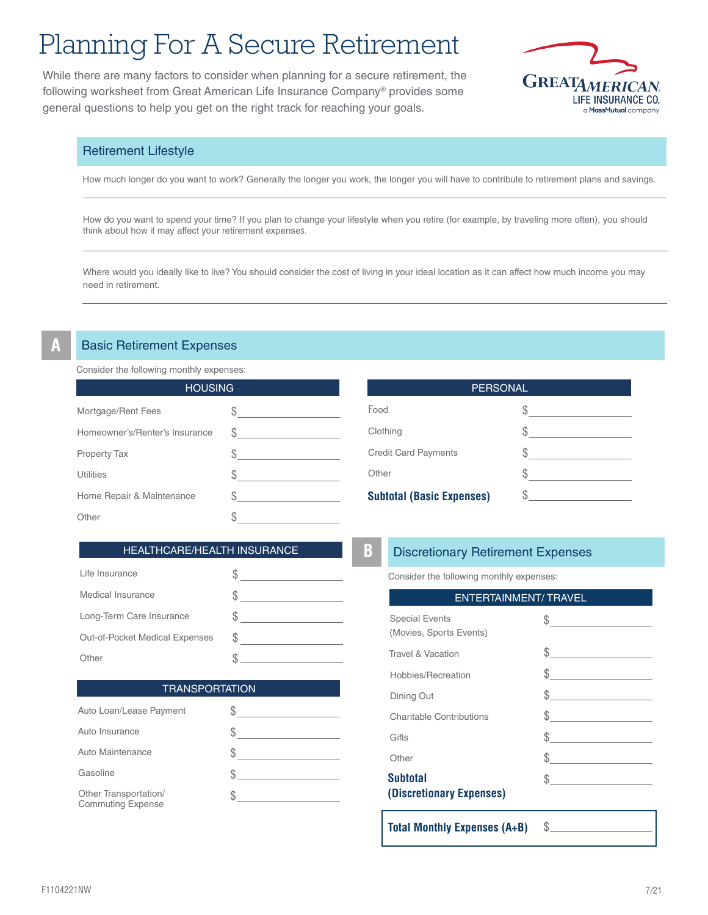# Planning For A Secure Retirement

While there are many factors to consider when planning for a secure retirement, the following worksheet from Great American Life Insurance Company® provides some general questions to help you get on the right track for reaching your goals.



# Retirement Lifestyle

How much longer do you want to work? Generally the longer you work, the longer you will have to contribute to retirement plans and savings.

How do you want to spend your time? If you plan to change your lifestyle when you retire (for example, by traveling more often), you should think about how it may affect your retirement expenses.

Where would you ideally like to live? You should consider the cost of living in your ideal location as it can affect how much income you may need in retirement.

## **Basic Retirement Expenses**

Consider the following monthly expenses:

| <b>HOUSING</b>                 |   |
|--------------------------------|---|
| Mortgage/Rent Fees             |   |
| Homeowner's/Renter's Insurance | S |
| <b>Property Tax</b>            | S |
| <b>Utilities</b>               |   |
| Home Repair & Maintenance      |   |
| Other                          |   |

| <b>PERSONAL</b>                  |  |  |
|----------------------------------|--|--|
| Food                             |  |  |
| Clothing                         |  |  |
| <b>Credit Card Payments</b>      |  |  |
| Other                            |  |  |
| <b>Subtotal (Basic Expenses)</b> |  |  |

## HEALTHCARE/HEALTH INSURANCE

| Life Insurance                 |   |
|--------------------------------|---|
| Medical Insurance              |   |
| Long-Term Care Insurance       |   |
| Out-of-Pocket Medical Expenses | S |
| Other                          |   |

**TRANSPORTATION** 

\$

# **Discretionary Retirement Expenses**

Consider the following monthly expenses:

| <b>ENTERTAINMENT/TRAVEL</b>                      |                                                                                                                                                                                                                                                                                                                                                                                                                                 |  |
|--------------------------------------------------|---------------------------------------------------------------------------------------------------------------------------------------------------------------------------------------------------------------------------------------------------------------------------------------------------------------------------------------------------------------------------------------------------------------------------------|--|
| <b>Special Events</b><br>(Movies, Sports Events) | $\frac{1}{\sqrt{1-\frac{1}{2}}}\frac{1}{\sqrt{1-\frac{1}{2}}}\frac{1}{\sqrt{1-\frac{1}{2}}}\frac{1}{\sqrt{1-\frac{1}{2}}}\frac{1}{\sqrt{1-\frac{1}{2}}}\frac{1}{\sqrt{1-\frac{1}{2}}}\frac{1}{\sqrt{1-\frac{1}{2}}}\frac{1}{\sqrt{1-\frac{1}{2}}}\frac{1}{\sqrt{1-\frac{1}{2}}}\frac{1}{\sqrt{1-\frac{1}{2}}}\frac{1}{\sqrt{1-\frac{1}{2}}}\frac{1}{\sqrt{1-\frac{1}{2}}}\frac{1}{\sqrt{1-\frac{1}{2}}}\frac{1}{\sqrt{1-\frac{$ |  |
| Travel & Vacation                                | $\frac{1}{2}$                                                                                                                                                                                                                                                                                                                                                                                                                   |  |
| Hobbies/Recreation                               | $\frac{1}{2}$                                                                                                                                                                                                                                                                                                                                                                                                                   |  |
| Dining Out                                       |                                                                                                                                                                                                                                                                                                                                                                                                                                 |  |
| <b>Charitable Contributions</b>                  | $\frac{1}{2}$                                                                                                                                                                                                                                                                                                                                                                                                                   |  |
| Gifts                                            | $\frac{1}{2}$                                                                                                                                                                                                                                                                                                                                                                                                                   |  |
| Other                                            | $\frac{1}{\sqrt{2}}$                                                                                                                                                                                                                                                                                                                                                                                                            |  |
| <b>Subtotal</b><br>(Discretionary Expenses)      | $\frac{1}{2}$                                                                                                                                                                                                                                                                                                                                                                                                                   |  |

\$

**Total Monthly Expenses (A+B)** 

| Auto Loan/Lease Payment |  |
|-------------------------|--|
| Auto Insurance          |  |
| Auto Maintenance        |  |
| Gasoline                |  |
|                         |  |

Other Transportation/ Commuting Expense